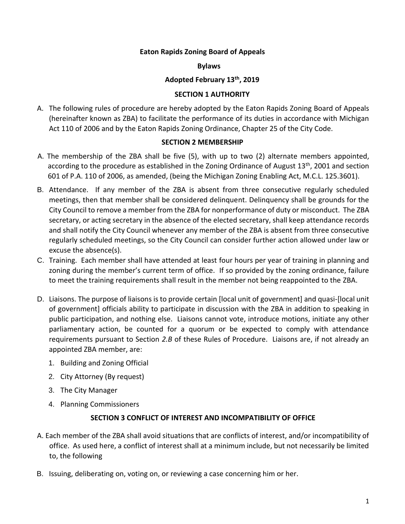### **Eaton Rapids Zoning Board of Appeals**

**Bylaws**

#### **Adopted February 13th, 2019**

### **SECTION 1 AUTHORITY**

A. The following rules of procedure are hereby adopted by the Eaton Rapids Zoning Board of Appeals (hereinafter known as ZBA) to facilitate the performance of its duties in accordance with Michigan Act 110 of 2006 and by the Eaton Rapids Zoning Ordinance, Chapter 25 of the City Code.

### **SECTION 2 MEMBERSHIP**

- A. The membership of the ZBA shall be five (5), with up to two (2) alternate members appointed, according to the procedure as established in the Zoning Ordinance of August  $13<sup>th</sup>$ , 2001 and section 601 of P.A. 110 of 2006, as amended, (being the Michigan Zoning Enabling Act, M.C.L. 125.3601).
- B. Attendance. If any member of the ZBA is absent from three consecutive regularly scheduled meetings, then that member shall be considered delinquent. Delinquency shall be grounds for the City Council to remove a member from the ZBA for nonperformance of duty or misconduct. The ZBA secretary, or acting secretary in the absence of the elected secretary, shall keep attendance records and shall notify the City Council whenever any member of the ZBA is absent from three consecutive regularly scheduled meetings, so the City Council can consider further action allowed under law or excuse the absence(s).
- C. Training. Each member shall have attended at least four hours per year of training in planning and zoning during the member's current term of office. If so provided by the zoning ordinance, failure to meet the training requirements shall result in the member not being reappointed to the ZBA.
- D. Liaisons. The purpose of liaisons is to provide certain [local unit of government] and quasi-[local unit of government] officials ability to participate in discussion with the ZBA in addition to speaking in public participation, and nothing else. Liaisons cannot vote, introduce motions, initiate any other parliamentary action, be counted for a quorum or be expected to comply with attendance requirements pursuant to Section *2.B* of these Rules of Procedure. Liaisons are, if not already an appointed ZBA member, are:
	- 1. Building and Zoning Official
	- 2. City Attorney (By request)
	- 3. The City Manager
	- 4. Planning Commissioners

# **SECTION 3 CONFLICT OF INTEREST AND INCOMPATIBILITY OF OFFICE**

- A. Each member of the ZBA shall avoid situations that are conflicts of interest, and/or incompatibility of office. As used here, a conflict of interest shall at a minimum include, but not necessarily be limited to, the following
- B. Issuing, deliberating on, voting on, or reviewing a case concerning him or her.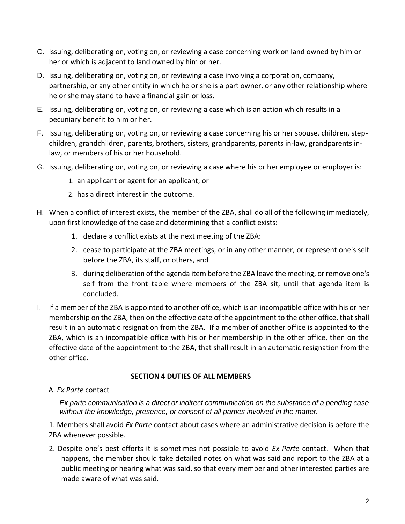- C. Issuing, deliberating on, voting on, or reviewing a case concerning work on land owned by him or her or which is adjacent to land owned by him or her.
- D. Issuing, deliberating on, voting on, or reviewing a case involving a corporation, company, partnership, or any other entity in which he or she is a part owner, or any other relationship where he or she may stand to have a financial gain or loss.
- E. Issuing, deliberating on, voting on, or reviewing a case which is an action which results in a pecuniary benefit to him or her.
- F. Issuing, deliberating on, voting on, or reviewing a case concerning his or her spouse, children, stepchildren, grandchildren, parents, brothers, sisters, grandparents, parents in-law, grandparents inlaw, or members of his or her household.
- G. Issuing, deliberating on, voting on, or reviewing a case where his or her employee or employer is:
	- 1. an applicant or agent for an applicant, or
	- 2. has a direct interest in the outcome.
- H. When a conflict of interest exists, the member of the ZBA, shall do all of the following immediately, upon first knowledge of the case and determining that a conflict exists:
	- 1. declare a conflict exists at the next meeting of the ZBA:
	- 2. cease to participate at the ZBA meetings, or in any other manner, or represent one's self before the ZBA, its staff, or others, and
	- 3. during deliberation of the agenda item before the ZBA leave the meeting, or remove one's self from the front table where members of the ZBA sit, until that agenda item is concluded.
- I. If a member of the ZBA is appointed to another office, which is an incompatible office with his or her membership on the ZBA, then on the effective date of the appointment to the other office, that shall result in an automatic resignation from the ZBA. If a member of another office is appointed to the ZBA, which is an incompatible office with his or her membership in the other office, then on the effective date of the appointment to the ZBA, that shall result in an automatic resignation from the other office.

# **SECTION 4 DUTIES OF ALL MEMBERS**

A. *Ex Parte* contact

*Ex parte communication is a direct or indirect communication on the substance of a pending case without the knowledge, presence, or consent of all parties involved in the matter.*

1. Members shall avoid *Ex Parte* contact about cases where an administrative decision is before the ZBA whenever possible.

2. Despite one's best efforts it is sometimes not possible to avoid *Ex Parte* contact. When that happens, the member should take detailed notes on what was said and report to the ZBA at a public meeting or hearing what was said, so that every member and other interested parties are made aware of what was said.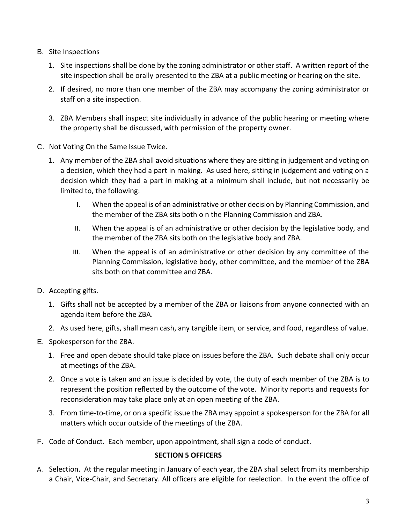- B. Site Inspections
	- 1. Site inspections shall be done by the zoning administrator or other staff. A written report of the site inspection shall be orally presented to the ZBA at a public meeting or hearing on the site.
	- 2. If desired, no more than one member of the ZBA may accompany the zoning administrator or staff on a site inspection.
	- 3. ZBA Members shall inspect site individually in advance of the public hearing or meeting where the property shall be discussed, with permission of the property owner.
- C. Not Voting On the Same Issue Twice.
	- 1. Any member of the ZBA shall avoid situations where they are sitting in judgement and voting on a decision, which they had a part in making. As used here, sitting in judgement and voting on a decision which they had a part in making at a minimum shall include, but not necessarily be limited to, the following:
		- I. When the appeal is of an administrative or other decision by Planning Commission, and the member of the ZBA sits both o n the Planning Commission and ZBA.
		- II. When the appeal is of an administrative or other decision by the legislative body, and the member of the ZBA sits both on the legislative body and ZBA.
		- III. When the appeal is of an administrative or other decision by any committee of the Planning Commission, legislative body, other committee, and the member of the ZBA sits both on that committee and ZBA.
- D. Accepting gifts.
	- 1. Gifts shall not be accepted by a member of the ZBA or liaisons from anyone connected with an agenda item before the ZBA.
	- 2. As used here, gifts, shall mean cash, any tangible item, or service, and food, regardless of value.
- E. Spokesperson for the ZBA.
	- 1. Free and open debate should take place on issues before the ZBA. Such debate shall only occur at meetings of the ZBA.
	- 2. Once a vote is taken and an issue is decided by vote, the duty of each member of the ZBA is to represent the position reflected by the outcome of the vote. Minority reports and requests for reconsideration may take place only at an open meeting of the ZBA.
	- 3. From time-to-time, or on a specific issue the ZBA may appoint a spokesperson for the ZBA for all matters which occur outside of the meetings of the ZBA.
- F. Code of Conduct. Each member, upon appointment, shall sign a code of conduct.

# **SECTION 5 OFFICERS**

A. Selection. At the regular meeting in January of each year, the ZBA shall select from its membership a Chair, Vice-Chair, and Secretary. All officers are eligible for reelection. In the event the office of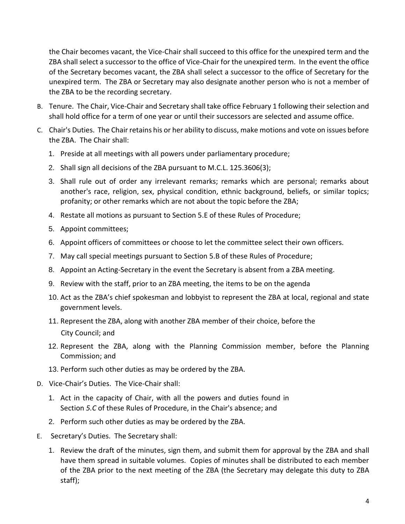the Chair becomes vacant, the Vice-Chair shall succeed to this office for the unexpired term and the ZBA shall select a successor to the office of Vice-Chair for the unexpired term. In the event the office of the Secretary becomes vacant, the ZBA shall select a successor to the office of Secretary for the unexpired term. The ZBA or Secretary may also designate another person who is not a member of the ZBA to be the recording secretary.

- B. Tenure. The Chair, Vice-Chair and Secretary shall take office February 1 following their selection and shall hold office for a term of one year or until their successors are selected and assume office.
- C. Chair's Duties. The Chair retains his or her ability to discuss, make motions and vote on issues before the ZBA. The Chair shall:
	- 1. Preside at all meetings with all powers under parliamentary procedure;
	- 2. Shall sign all decisions of the ZBA pursuant to M.C.L. 125.3606(3);
	- 3. Shall rule out of order any irrelevant remarks; remarks which are personal; remarks about another's race, religion, sex, physical condition, ethnic background, beliefs, or similar topics; profanity; or other remarks which are not about the topic before the ZBA;
	- 4. Restate all motions as pursuant to Section 5.E of these Rules of Procedure;
	- 5. Appoint committees;
	- 6. Appoint officers of committees or choose to let the committee select their own officers.
	- 7. May call special meetings pursuant to Section 5.B of these Rules of Procedure;
	- 8. Appoint an Acting-Secretary in the event the Secretary is absent from a ZBA meeting.
	- 9. Review with the staff, prior to an ZBA meeting, the items to be on the agenda
	- 10. Act as the ZBA's chief spokesman and lobbyist to represent the ZBA at local, regional and state government levels.
	- 11. Represent the ZBA, along with another ZBA member of their choice, before the City Council; and
	- 12. Represent the ZBA, along with the Planning Commission member, before the Planning Commission; and
	- 13. Perform such other duties as may be ordered by the ZBA.
- D. Vice-Chair's Duties. The Vice-Chair shall:
	- 1. Act in the capacity of Chair, with all the powers and duties found in Section *5.C* of these Rules of Procedure, in the Chair's absence; and
	- 2. Perform such other duties as may be ordered by the ZBA.
- E. Secretary's Duties. The Secretary shall:
	- 1. Review the draft of the minutes, sign them, and submit them for approval by the ZBA and shall have them spread in suitable volumes. Copies of minutes shall be distributed to each member of the ZBA prior to the next meeting of the ZBA (the Secretary may delegate this duty to ZBA staff);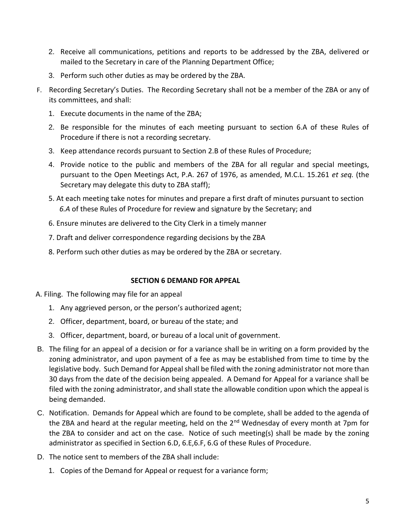- 2. Receive all communications, petitions and reports to be addressed by the ZBA, delivered or mailed to the Secretary in care of the Planning Department Office;
- 3. Perform such other duties as may be ordered by the ZBA.
- F. Recording Secretary's Duties. The Recording Secretary shall not be a member of the ZBA or any of its committees, and shall:
	- 1. Execute documents in the name of the ZBA;
	- 2. Be responsible for the minutes of each meeting pursuant to section 6.A of these Rules of Procedure if there is not a recording secretary.
	- 3. Keep attendance records pursuant to Section 2.B of these Rules of Procedure;
	- 4. Provide notice to the public and members of the ZBA for all regular and special meetings, pursuant to the Open Meetings Act, P.A. 267 of 1976, as amended, M.C.L. 15.261 *et seq.* (the Secretary may delegate this duty to ZBA staff);
	- 5. At each meeting take notes for minutes and prepare a first draft of minutes pursuant to section *6.A* of these Rules of Procedure for review and signature by the Secretary; and
	- 6. Ensure minutes are delivered to the City Clerk in a timely manner
	- 7. Draft and deliver correspondence regarding decisions by the ZBA
	- 8. Perform such other duties as may be ordered by the ZBA or secretary.

# **SECTION 6 DEMAND FOR APPEAL**

- A. Filing. The following may file for an appeal
	- 1. Any aggrieved person, or the person's authorized agent;
	- 2. Officer, department, board, or bureau of the state; and
	- 3. Officer, department, board, or bureau of a local unit of government.
- B. The filing for an appeal of a decision or for a variance shall be in writing on a form provided by the zoning administrator, and upon payment of a fee as may be established from time to time by the legislative body. Such Demand for Appeal shall be filed with the zoning administrator not more than 30 days from the date of the decision being appealed. A Demand for Appeal for a variance shall be filed with the zoning administrator, and shall state the allowable condition upon which the appeal is being demanded.
- C. Notification. Demands for Appeal which are found to be complete, shall be added to the agenda of the ZBA and heard at the regular meeting, held on the 2<sup>nd</sup> Wednesday of every month at 7pm for the ZBA to consider and act on the case. Notice of such meeting(s) shall be made by the zoning administrator as specified in Section 6.D, 6.E,6.F, 6.G of these Rules of Procedure.
- D. The notice sent to members of the ZBA shall include:
	- 1. Copies of the Demand for Appeal or request for a variance form;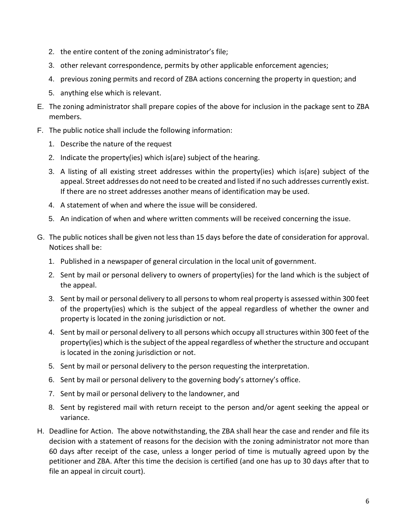- 2. the entire content of the zoning administrator's file;
- 3. other relevant correspondence, permits by other applicable enforcement agencies;
- 4. previous zoning permits and record of ZBA actions concerning the property in question; and
- 5. anything else which is relevant.
- E. The zoning administrator shall prepare copies of the above for inclusion in the package sent to ZBA members.
- F. The public notice shall include the following information:
	- 1. Describe the nature of the request
	- 2. Indicate the property(ies) which is(are) subject of the hearing.
	- 3. A listing of all existing street addresses within the property(ies) which is(are) subject of the appeal. Street addresses do not need to be created and listed if no such addresses currently exist. If there are no street addresses another means of identification may be used.
	- 4. A statement of when and where the issue will be considered.
	- 5. An indication of when and where written comments will be received concerning the issue.
- G. The public notices shall be given not less than 15 days before the date of consideration for approval. Notices shall be:
	- 1. Published in a newspaper of general circulation in the local unit of government.
	- 2. Sent by mail or personal delivery to owners of property(ies) for the land which is the subject of the appeal.
	- 3. Sent by mail or personal delivery to all persons to whom real property is assessed within 300 feet of the property(ies) which is the subject of the appeal regardless of whether the owner and property is located in the zoning jurisdiction or not.
	- 4. Sent by mail or personal delivery to all persons which occupy all structures within 300 feet of the property(ies) which is the subject of the appeal regardless of whether the structure and occupant is located in the zoning jurisdiction or not.
	- 5. Sent by mail or personal delivery to the person requesting the interpretation.
	- 6. Sent by mail or personal delivery to the governing body's attorney's office.
	- 7. Sent by mail or personal delivery to the landowner, and
	- 8. Sent by registered mail with return receipt to the person and/or agent seeking the appeal or variance.
- H. Deadline for Action. The above notwithstanding, the ZBA shall hear the case and render and file its decision with a statement of reasons for the decision with the zoning administrator not more than 60 days after receipt of the case, unless a longer period of time is mutually agreed upon by the petitioner and ZBA. After this time the decision is certified (and one has up to 30 days after that to file an appeal in circuit court).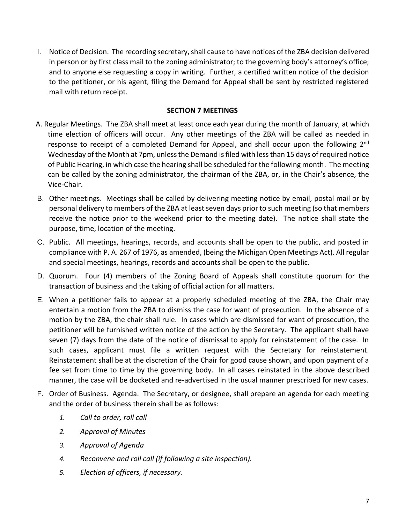I. Notice of Decision. The recording secretary, shall cause to have notices of the ZBA decision delivered in person or by first class mail to the zoning administrator; to the governing body's attorney's office; and to anyone else requesting a copy in writing. Further, a certified written notice of the decision to the petitioner, or his agent, filing the Demand for Appeal shall be sent by restricted registered mail with return receipt.

### **SECTION 7 MEETINGS**

- A. Regular Meetings. The ZBA shall meet at least once each year during the month of January, at which time election of officers will occur. Any other meetings of the ZBA will be called as needed in response to receipt of a completed Demand for Appeal, and shall occur upon the following 2<sup>nd</sup> Wednesday of the Month at 7pm, unless the Demand is filed with less than 15 days of required notice of Public Hearing, in which case the hearing shall be scheduled for the following month. The meeting can be called by the zoning administrator, the chairman of the ZBA, or, in the Chair's absence, the Vice-Chair.
- B. Other meetings. Meetings shall be called by delivering meeting notice by email, postal mail or by personal delivery to members of the ZBA at least seven days prior to such meeting (so that members receive the notice prior to the weekend prior to the meeting date). The notice shall state the purpose, time, location of the meeting.
- C. Public. All meetings, hearings, records, and accounts shall be open to the public, and posted in compliance with P. A. 267 of 1976, as amended, (being the Michigan Open Meetings Act). All regular and special meetings, hearings, records and accounts shall be open to the public.
- D. Quorum. Four (4) members of the Zoning Board of Appeals shall constitute quorum for the transaction of business and the taking of official action for all matters.
- E. When a petitioner fails to appear at a properly scheduled meeting of the ZBA, the Chair may entertain a motion from the ZBA to dismiss the case for want of prosecution. In the absence of a motion by the ZBA, the chair shall rule. In cases which are dismissed for want of prosecution, the petitioner will be furnished written notice of the action by the Secretary. The applicant shall have seven (7) days from the date of the notice of dismissal to apply for reinstatement of the case. In such cases, applicant must file a written request with the Secretary for reinstatement. Reinstatement shall be at the discretion of the Chair for good cause shown, and upon payment of a fee set from time to time by the governing body. In all cases reinstated in the above described manner, the case will be docketed and re-advertised in the usual manner prescribed for new cases.
- F. Order of Business. Agenda. The Secretary, or designee, shall prepare an agenda for each meeting and the order of business therein shall be as follows:
	- *1. Call to order, roll call*
	- *2. Approval of Minutes*
	- *3. Approval of Agenda*
	- *4. Reconvene and roll call (if following a site inspection).*
	- *5. Election of officers, if necessary.*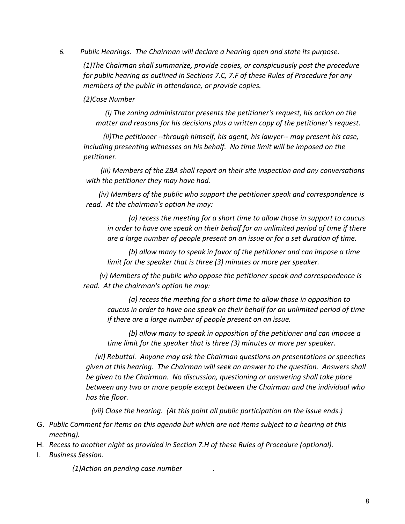*6. Public Hearings. The Chairman will declare a hearing open and state its purpose.* 

*(1)The Chairman shall summarize, provide copies, or conspicuously post the procedure for public hearing as outlined in Sections 7.C, 7.F of these Rules of Procedure for any members of the public in attendance, or provide copies.* 

*(2)Case Number* 

 *(i) The zoning administrator presents the petitioner's request, his action on the matter and reasons for his decisions plus a written copy of the petitioner's request.* 

 *(ii)The petitioner --through himself, his agent, his lawyer-- may present his case, including presenting witnesses on his behalf. No time limit will be imposed on the petitioner.* 

 *(iii) Members of the ZBA shall report on their site inspection and any conversations with the petitioner they may have had.* 

 *(iv) Members of the public who support the petitioner speak and correspondence is read. At the chairman's option he may:* 

 *(a) recess the meeting for a short time to allow those in support to caucus in order to have one speak on their behalf for an unlimited period of time if there are a large number of people present on an issue or for a set duration of time.* 

 *(b) allow many to speak in favor of the petitioner and can impose a time limit for the speaker that is three (3) minutes or more per speaker.* 

 *(v) Members of the public who oppose the petitioner speak and correspondence is read. At the chairman's option he may:* 

 *(a) recess the meeting for a short time to allow those in opposition to caucus in order to have one speak on their behalf for an unlimited period of time if there are a large number of people present on an issue.* 

 *(b) allow many to speak in opposition of the petitioner and can impose a time limit for the speaker that is three (3) minutes or more per speaker.* 

 *(vi) Rebuttal. Anyone may ask the Chairman questions on presentations or speeches given at this hearing. The Chairman will seek an answer to the question. Answers shall be given to the Chairman. No discussion, questioning or answering shall take place between any two or more people except between the Chairman and the individual who has the floor.* 

 *(vii) Close the hearing. (At this point all public participation on the issue ends.)* 

- G. *Public Comment for items on this agenda but which are not items subject to a hearing at this meeting).*
- H. *Recess to another night as provided in Section 7.H of these Rules of Procedure (optional).*
- I. *Business Session.*

*(1)Action on pending case number .*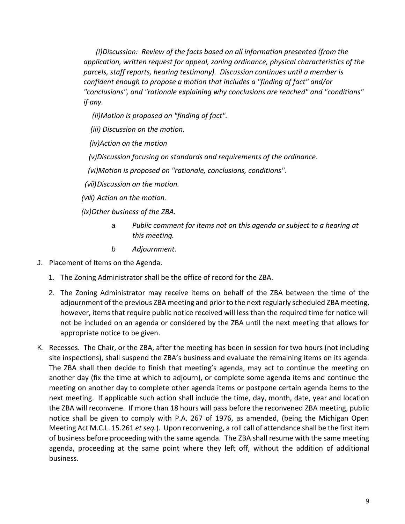*(i)Discussion: Review of the facts based on all information presented (from the application, written request for appeal, zoning ordinance, physical characteristics of the parcels, staff reports, hearing testimony). Discussion continues until a member is confident enough to propose a motion that includes a "finding of fact" and/or "conclusions", and "rationale explaining why conclusions are reached" and "conditions" if any.* 

 *(ii)Motion is proposed on "finding of fact".* 

 *(iii) Discussion on the motion.* 

 *(iv)Action on the motion* 

 *(v)Discussion focusing on standards and requirements of the ordinance.* 

 *(vi)Motion is proposed on "rationale, conclusions, conditions".* 

*(vii)Discussion on the motion.* 

*(viii) Action on the motion.* 

 *(ix)Other business of the ZBA.* 

- *a Public comment for items not on this agenda or subject to a hearing at this meeting.*
- *b Adjournment.*
- J. Placement of Items on the Agenda.
	- 1. The Zoning Administrator shall be the office of record for the ZBA.
	- 2. The Zoning Administrator may receive items on behalf of the ZBA between the time of the adjournment of the previous ZBA meeting and prior to the next regularly scheduled ZBA meeting, however, items that require public notice received will less than the required time for notice will not be included on an agenda or considered by the ZBA until the next meeting that allows for appropriate notice to be given.
- K. Recesses. The Chair, or the ZBA, after the meeting has been in session for two hours (not including site inspections), shall suspend the ZBA's business and evaluate the remaining items on its agenda. The ZBA shall then decide to finish that meeting's agenda, may act to continue the meeting on another day (fix the time at which to adjourn), or complete some agenda items and continue the meeting on another day to complete other agenda items or postpone certain agenda items to the next meeting. If applicable such action shall include the time, day, month, date, year and location the ZBA will reconvene. If more than 18 hours will pass before the reconvened ZBA meeting, public notice shall be given to comply with P.A. 267 of 1976, as amended, (being the Michigan Open Meeting Act M.C.L. 15.261 *et seq.*). Upon reconvening, a roll call of attendance shall be the first item of business before proceeding with the same agenda. The ZBA shall resume with the same meeting agenda, proceeding at the same point where they left off, without the addition of additional business.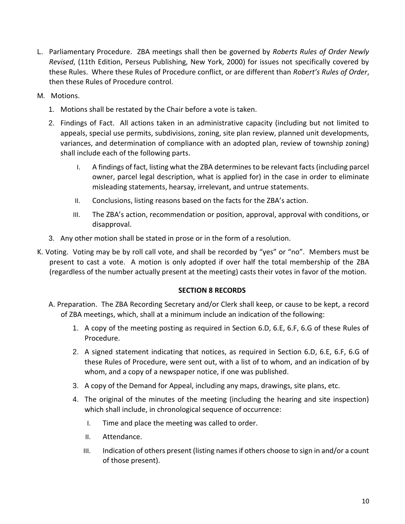- L. Parliamentary Procedure. ZBA meetings shall then be governed by *Roberts Rules of Order Newly Revised*, (11th Edition, Perseus Publishing, New York, 2000) for issues not specifically covered by these Rules. Where these Rules of Procedure conflict, or are different than *Robert's Rules of Order*, then these Rules of Procedure control.
- M. Motions.
	- 1. Motions shall be restated by the Chair before a vote is taken.
	- 2. Findings of Fact. All actions taken in an administrative capacity (including but not limited to appeals, special use permits, subdivisions, zoning, site plan review, planned unit developments, variances, and determination of compliance with an adopted plan, review of township zoning) shall include each of the following parts.
		- I. A findings of fact, listing what the ZBA determines to be relevant facts (including parcel owner, parcel legal description, what is applied for) in the case in order to eliminate misleading statements, hearsay, irrelevant, and untrue statements.
		- II. Conclusions, listing reasons based on the facts for the ZBA's action.
		- III. The ZBA's action, recommendation or position, approval, approval with conditions, or disapproval.
	- 3. Any other motion shall be stated in prose or in the form of a resolution.
- K. Voting. Voting may be by roll call vote, and shall be recorded by "yes" or "no". Members must be present to cast a vote. A motion is only adopted if over half the total membership of the ZBA (regardless of the number actually present at the meeting) casts their votes in favor of the motion.

# **SECTION 8 RECORDS**

- A. Preparation. The ZBA Recording Secretary and/or Clerk shall keep, or cause to be kept, a record of ZBA meetings, which, shall at a minimum include an indication of the following:
	- 1. A copy of the meeting posting as required in Section 6.D, 6.E, 6.F, 6.G of these Rules of Procedure.
	- 2. A signed statement indicating that notices, as required in Section 6.D, 6.E, 6.F, 6.G of these Rules of Procedure, were sent out, with a list of to whom, and an indication of by whom, and a copy of a newspaper notice, if one was published.
	- 3. A copy of the Demand for Appeal, including any maps, drawings, site plans, etc.
	- 4. The original of the minutes of the meeting (including the hearing and site inspection) which shall include, in chronological sequence of occurrence:
		- I. Time and place the meeting was called to order.
		- II. Attendance.
		- III. Indication of others present (listing names if others choose to sign in and/or a count of those present).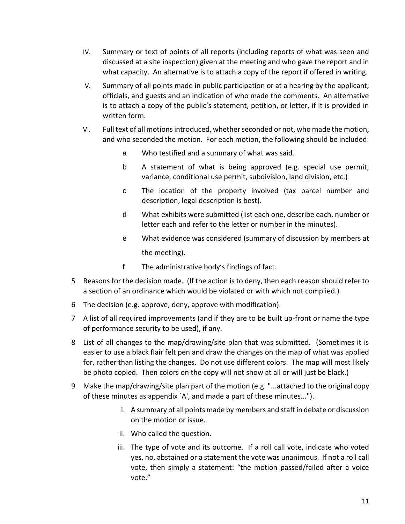- IV. Summary or text of points of all reports (including reports of what was seen and discussed at a site inspection) given at the meeting and who gave the report and in what capacity. An alternative is to attach a copy of the report if offered in writing.
- V. Summary of all points made in public participation or at a hearing by the applicant, officials, and guests and an indication of who made the comments. An alternative is to attach a copy of the public's statement, petition, or letter, if it is provided in written form.
- VI. Full text of all motions introduced, whether seconded or not, who made the motion, and who seconded the motion. For each motion, the following should be included:
	- a Who testified and a summary of what was said.
	- b A statement of what is being approved (e.g. special use permit, variance, conditional use permit, subdivision, land division, etc.)
	- c The location of the property involved (tax parcel number and description, legal description is best).
	- d What exhibits were submitted (list each one, describe each, number or letter each and refer to the letter or number in the minutes).
	- e What evidence was considered (summary of discussion by members at the meeting).
	- f The administrative body's findings of fact.
- 5 Reasons for the decision made. (If the action is to deny, then each reason should refer to a section of an ordinance which would be violated or with which not complied.)
- 6 The decision (e.g. approve, deny, approve with modification).
- 7 A list of all required improvements (and if they are to be built up-front or name the type of performance security to be used), if any.
- 8 List of all changes to the map/drawing/site plan that was submitted. (Sometimes it is easier to use a black flair felt pen and draw the changes on the map of what was applied for, rather than listing the changes. Do not use different colors. The map will most likely be photo copied. Then colors on the copy will not show at all or will just be black.)
- 9 Make the map/drawing/site plan part of the motion (e.g. "...attached to the original copy of these minutes as appendix `A', and made a part of these minutes...").
	- i. A summary of all points made by members and staff in debate or discussion on the motion or issue.
	- ii. Who called the question.
	- iii. The type of vote and its outcome. If a roll call vote, indicate who voted yes, no, abstained or a statement the vote was unanimous. If not a roll call vote, then simply a statement: "the motion passed/failed after a voice vote."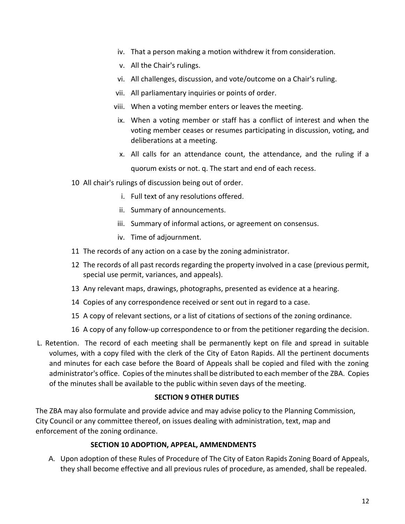- iv. That a person making a motion withdrew it from consideration.
- v. All the Chair's rulings.
- vi. All challenges, discussion, and vote/outcome on a Chair's ruling.
- vii. All parliamentary inquiries or points of order.
- viii. When a voting member enters or leaves the meeting.
- ix. When a voting member or staff has a conflict of interest and when the voting member ceases or resumes participating in discussion, voting, and deliberations at a meeting.
- x. All calls for an attendance count, the attendance, and the ruling if a quorum exists or not. q. The start and end of each recess.
- 10 All chair's rulings of discussion being out of order.
	- i. Full text of any resolutions offered.
	- ii. Summary of announcements.
	- iii. Summary of informal actions, or agreement on consensus.
	- iv. Time of adjournment.
- 11 The records of any action on a case by the zoning administrator.
- 12 The records of all past records regarding the property involved in a case (previous permit, special use permit, variances, and appeals).
- 13 Any relevant maps, drawings, photographs, presented as evidence at a hearing.
- 14 Copies of any correspondence received or sent out in regard to a case.
- 15 A copy of relevant sections, or a list of citations of sections of the zoning ordinance.
- 16 A copy of any follow-up correspondence to or from the petitioner regarding the decision.
- L. Retention. The record of each meeting shall be permanently kept on file and spread in suitable volumes, with a copy filed with the clerk of the City of Eaton Rapids. All the pertinent documents and minutes for each case before the Board of Appeals shall be copied and filed with the zoning administrator's office. Copies of the minutes shall be distributed to each member of the ZBA. Copies of the minutes shall be available to the public within seven days of the meeting.

#### **SECTION 9 OTHER DUTIES**

The ZBA may also formulate and provide advice and may advise policy to the Planning Commission, City Council or any committee thereof, on issues dealing with administration, text, map and enforcement of the zoning ordinance.

#### **SECTION 10 ADOPTION, APPEAL, AMMENDMENTS**

A. Upon adoption of these Rules of Procedure of The City of Eaton Rapids Zoning Board of Appeals, they shall become effective and all previous rules of procedure, as amended, shall be repealed.